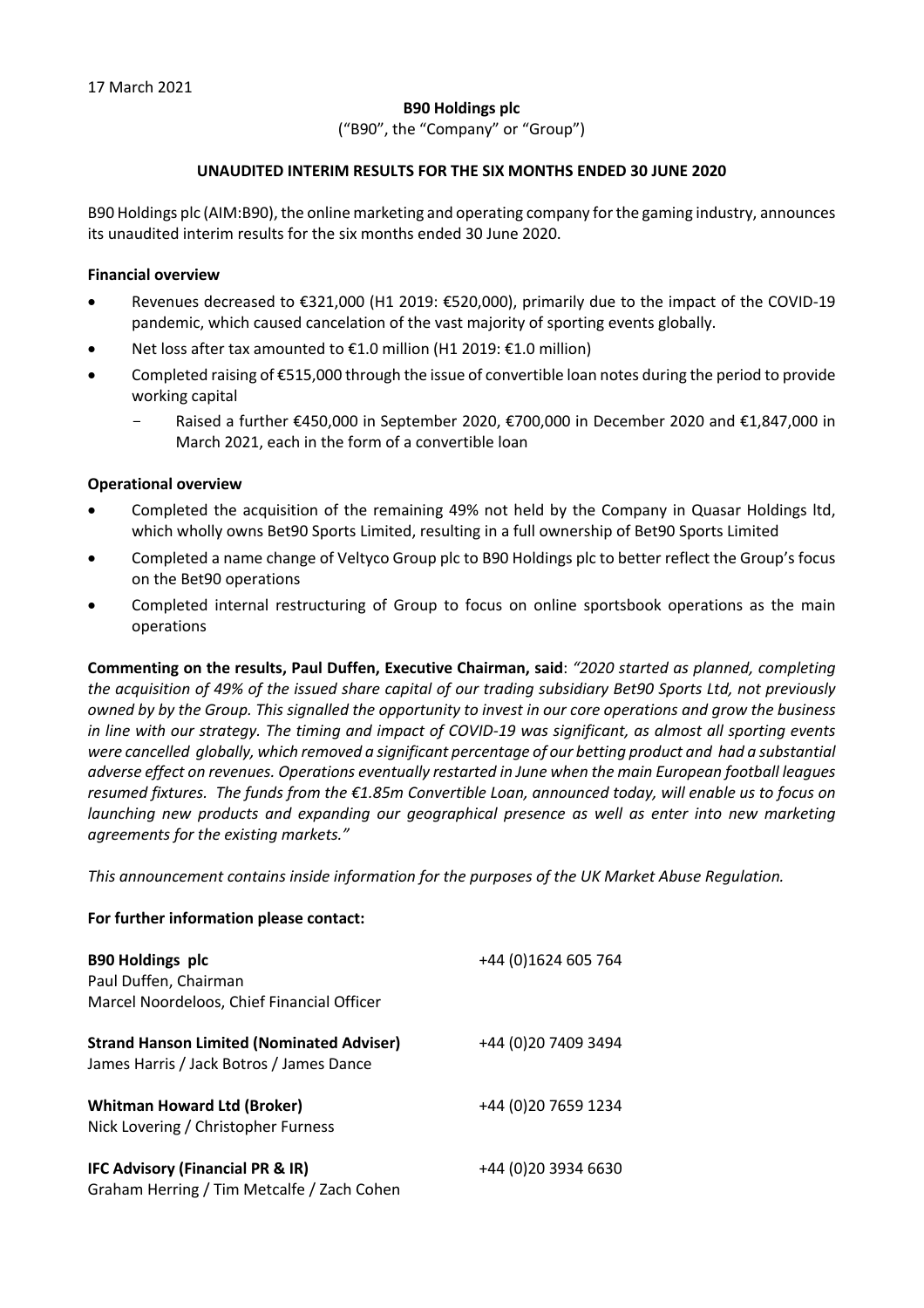## **B90 Holdings plc**

("B90", the "Company" or "Group")

### **UNAUDITED INTERIM RESULTS FOR THE SIX MONTHS ENDED 30 JUNE 2020**

B90 Holdings plc (AIM:B90), the online marketing and operating company for the gaming industry, announces its unaudited interim results for the six months ended 30 June 2020.

#### **Financial overview**

- Revenues decreased to €321,000 (H1 2019: €520,000), primarily due to the impact of the COVID-19 pandemic, which caused cancelation of the vast majority of sporting events globally.
- Net loss after tax amounted to €1.0 million (H1 2019: €1.0 million)
- Completed raising of €515,000 through the issue of convertible loan notes during the period to provide working capital
	- Raised a further €450,000 in September 2020, €700,000 in December 2020 and €1,847,000 in March 2021, each in the form of a convertible loan

#### **Operational overview**

- Completed the acquisition of the remaining 49% not held by the Company in Quasar Holdings ltd, which wholly owns Bet90 Sports Limited, resulting in a full ownership of Bet90 Sports Limited
- Completed a name change of Veltyco Group plc to B90 Holdings plc to better reflect the Group's focus on the Bet90 operations
- Completed internal restructuring of Group to focus on online sportsbook operations as the main operations

**Commenting on the results, Paul Duffen, Executive Chairman, said**: *"2020 started as planned, completing the acquisition of 49% of the issued share capital of our trading subsidiary Bet90 Sports Ltd, not previously owned by by the Group. This signalled the opportunity to invest in our core operations and grow the business in line with our strategy. The timing and impact of COVID-19 was significant, as almost all sporting events were cancelled globally, which removed a significant percentage of our betting product and had a substantial adverse effect on revenues. Operations eventually restarted in June when the main European football leagues resumed fixtures. The funds from the €1.85m Convertible Loan, announced today, will enable us to focus on launching new products and expanding our geographical presence as well as enter into new marketing agreements for the existing markets."*

*This announcement contains inside information for the purposes of the UK Market Abuse Regulation.*

### **For further information please contact:**

| <b>B90 Holdings plc</b><br>Paul Duffen, Chairman<br>Marcel Noordeloos, Chief Financial Officer | +44 (0)1624 605 764  |
|------------------------------------------------------------------------------------------------|----------------------|
| <b>Strand Hanson Limited (Nominated Adviser)</b><br>James Harris / Jack Botros / James Dance   | +44 (0)20 7409 3494  |
| <b>Whitman Howard Ltd (Broker)</b><br>Nick Lovering / Christopher Furness                      | +44 (0) 20 7659 1234 |
| IFC Advisory (Financial PR & IR)<br>Graham Herring / Tim Metcalfe / Zach Cohen                 | +44 (0) 20 3934 6630 |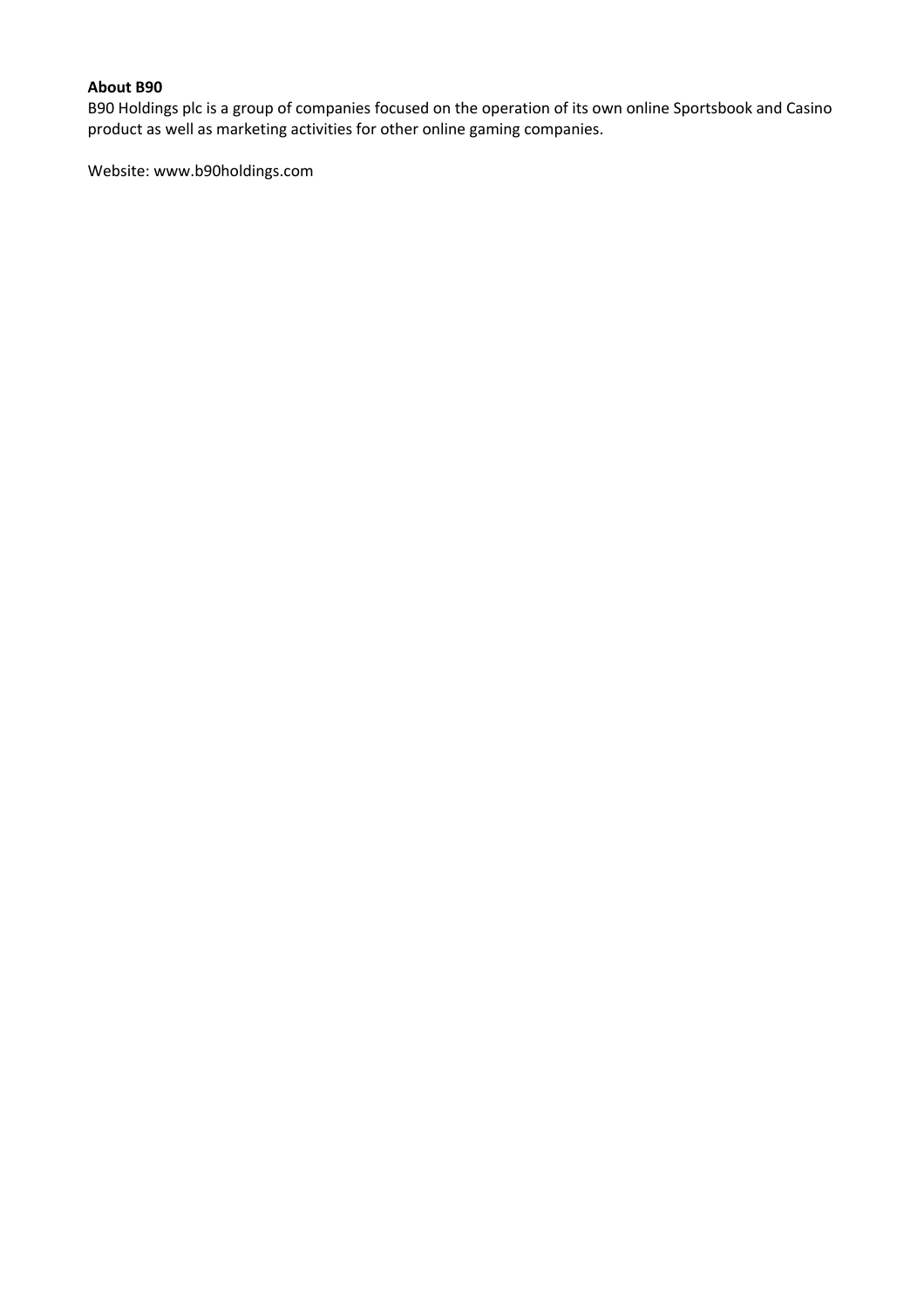# **About B90**

B90 Holdings plc is a group of companies focused on the operation of its own online Sportsbook and Casino product as well as marketing activities for other online gaming companies.

Website: www.b90holdings.com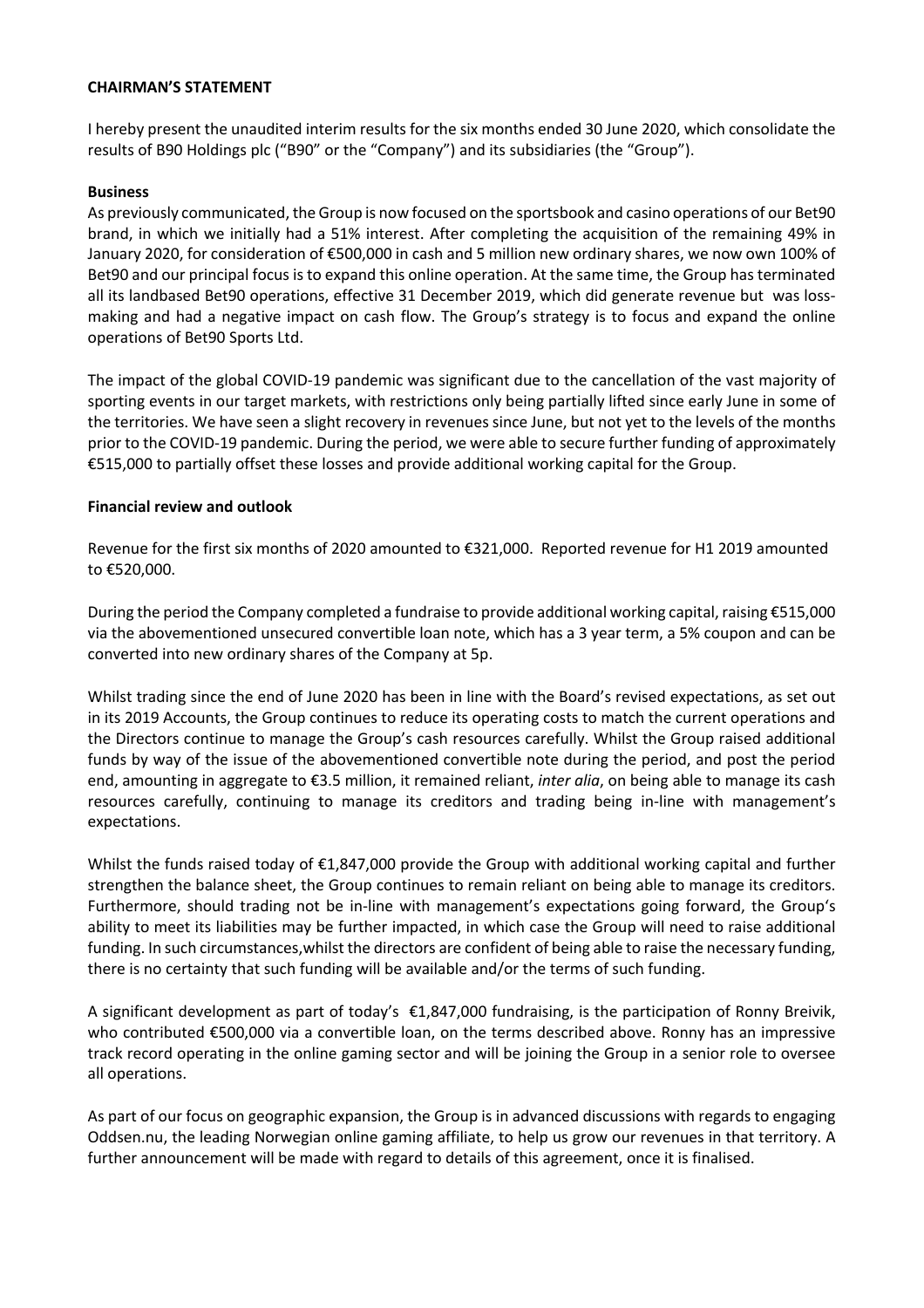#### **CHAIRMAN'S STATEMENT**

I hereby present the unaudited interim results for the six months ended 30 June 2020, which consolidate the results of B90 Holdings plc ("B90" or the "Company") and its subsidiaries (the "Group").

#### **Business**

As previously communicated, the Group is now focused on the sportsbook and casino operations of our Bet90 brand, in which we initially had a 51% interest. After completing the acquisition of the remaining 49% in January 2020, for consideration of €500,000 in cash and 5 million new ordinary shares, we now own 100% of Bet90 and our principal focus is to expand this online operation. At the same time, the Group has terminated all its landbased Bet90 operations, effective 31 December 2019, which did generate revenue but was lossmaking and had a negative impact on cash flow. The Group's strategy is to focus and expand the online operations of Bet90 Sports Ltd.

The impact of the global COVID-19 pandemic was significant due to the cancellation of the vast majority of sporting events in our target markets, with restrictions only being partially lifted since early June in some of the territories. We have seen a slight recovery in revenues since June, but not yet to the levels of the months prior to the COVID-19 pandemic. During the period, we were able to secure further funding of approximately €515,000 to partially offset these losses and provide additional working capital for the Group.

#### **Financial review and outlook**

Revenue for the first six months of 2020 amounted to €321,000. Reported revenue for H1 2019 amounted to €520,000.

During the period the Company completed a fundraise to provide additional working capital, raising €515,000 via the abovementioned unsecured convertible loan note, which has a 3 year term, a 5% coupon and can be converted into new ordinary shares of the Company at 5p.

Whilst trading since the end of June 2020 has been in line with the Board's revised expectations, as set out in its 2019 Accounts, the Group continues to reduce its operating costs to match the current operations and the Directors continue to manage the Group's cash resources carefully. Whilst the Group raised additional funds by way of the issue of the abovementioned convertible note during the period, and post the period end, amounting in aggregate to €3.5 million, it remained reliant, *inter alia*, on being able to manage its cash resources carefully, continuing to manage its creditors and trading being in-line with management's expectations.

Whilst the funds raised today of €1,847,000 provide the Group with additional working capital and further strengthen the balance sheet, the Group continues to remain reliant on being able to manage its creditors. Furthermore, should trading not be in-line with management's expectations going forward, the Group's ability to meet its liabilities may be further impacted, in which case the Group will need to raise additional funding. In such circumstances,whilst the directors are confident of being able to raise the necessary funding, there is no certainty that such funding will be available and/or the terms of such funding.

A significant development as part of today's €1,847,000 fundraising, is the participation of Ronny Breivik, who contributed €500,000 via a convertible loan, on the terms described above. Ronny has an impressive track record operating in the online gaming sector and will be joining the Group in a senior role to oversee all operations.

As part of our focus on geographic expansion, the Group is in advanced discussions with regards to engaging Oddsen.nu, the leading Norwegian online gaming affiliate, to help us grow our revenues in that territory. A further announcement will be made with regard to details of this agreement, once it is finalised.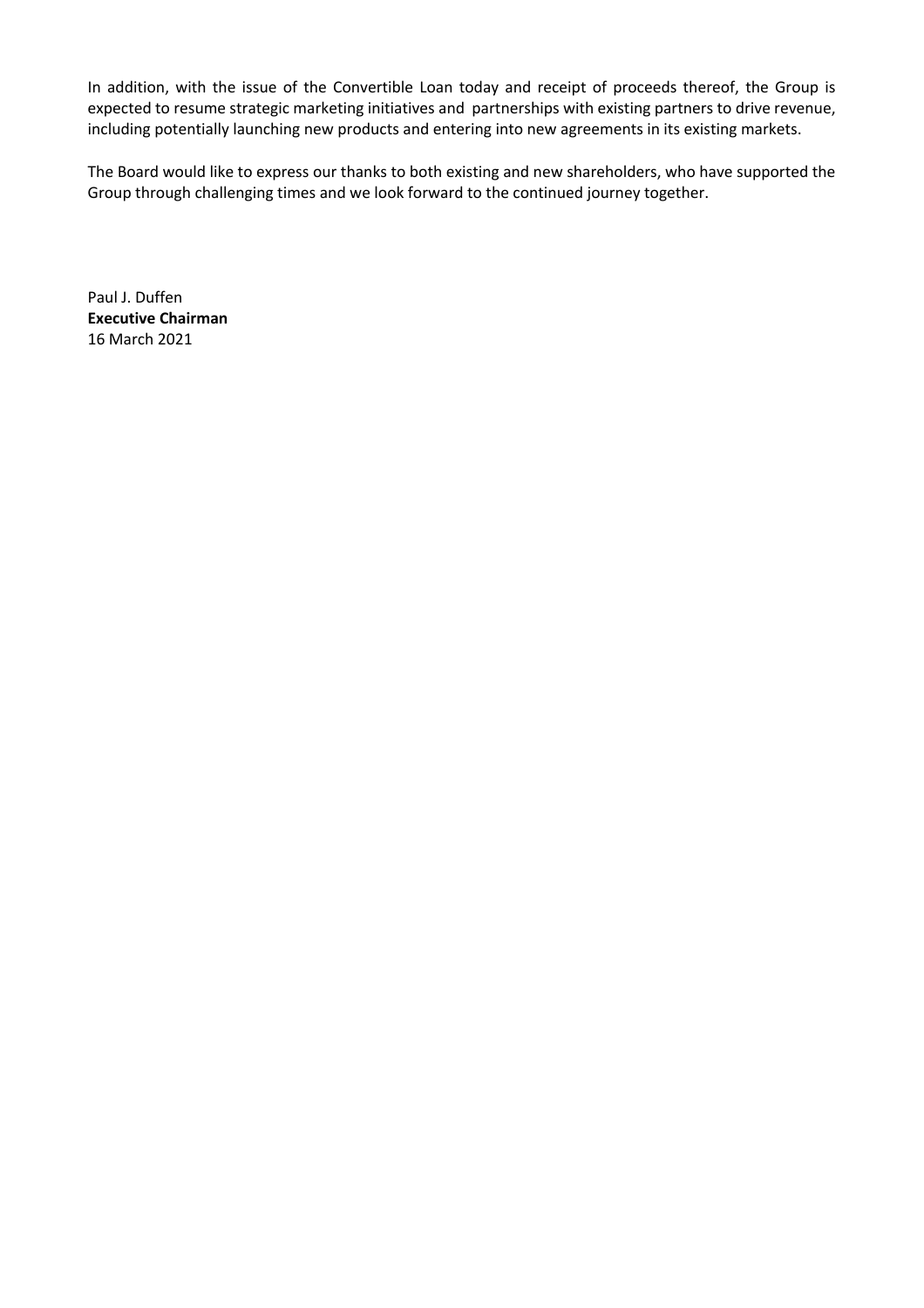In addition, with the issue of the Convertible Loan today and receipt of proceeds thereof, the Group is expected to resume strategic marketing initiatives and partnerships with existing partners to drive revenue, including potentially launching new products and entering into new agreements in its existing markets.

The Board would like to express our thanks to both existing and new shareholders, who have supported the Group through challenging times and we look forward to the continued journey together.

Paul J. Duffen **Executive Chairman** 16 March 2021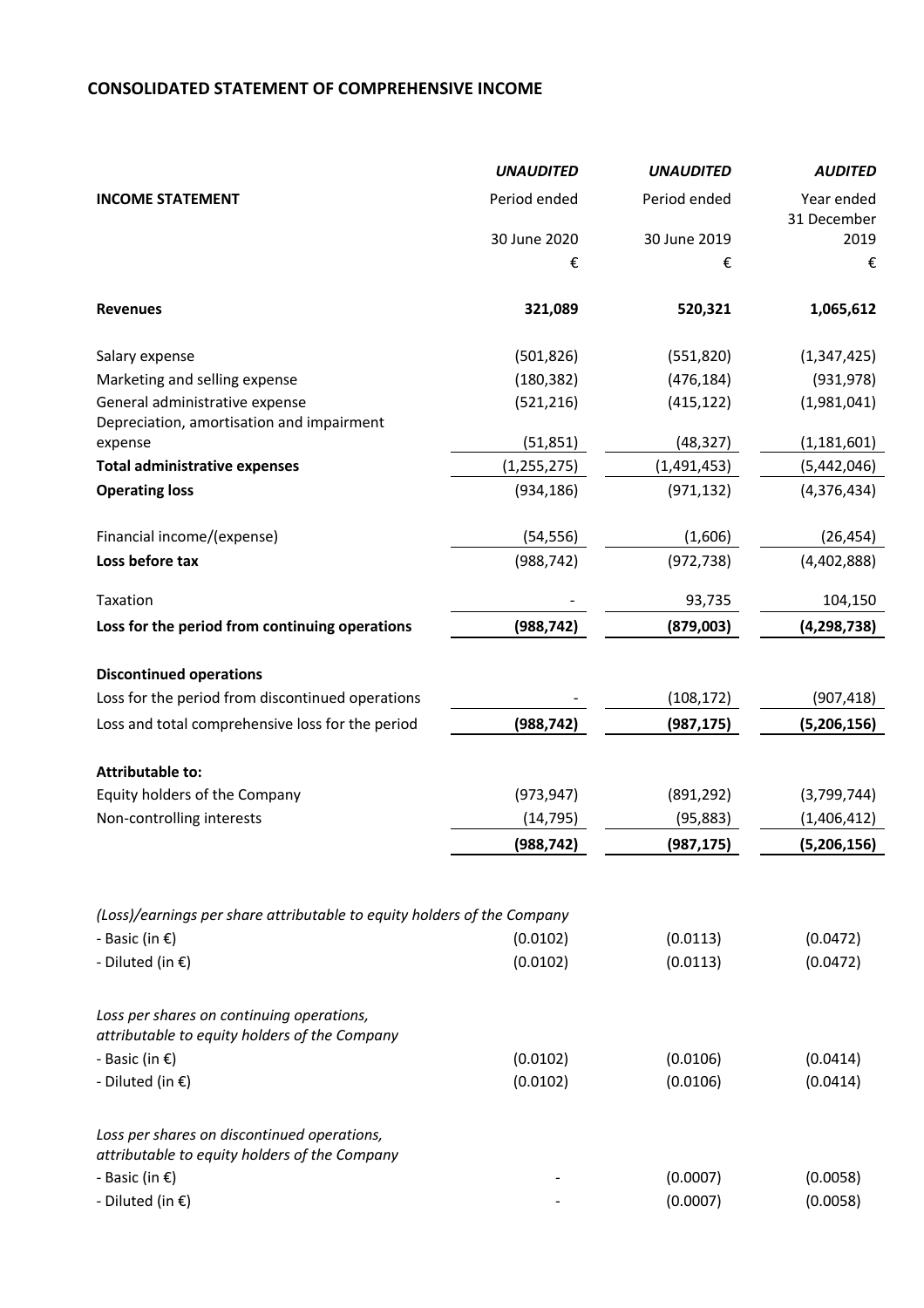# **CONSOLIDATED STATEMENT OF COMPREHENSIVE INCOME**

|                                                                                              | <b>UNAUDITED</b> | <b>UNAUDITED</b> | <b>AUDITED</b>            |
|----------------------------------------------------------------------------------------------|------------------|------------------|---------------------------|
| <b>INCOME STATEMENT</b>                                                                      | Period ended     | Period ended     | Year ended<br>31 December |
|                                                                                              | 30 June 2020     | 30 June 2019     | 2019                      |
|                                                                                              | €                | €                | €                         |
| <b>Revenues</b>                                                                              | 321,089          | 520,321          | 1,065,612                 |
| Salary expense                                                                               | (501, 826)       | (551, 820)       | (1,347,425)               |
| Marketing and selling expense                                                                | (180, 382)       | (476, 184)       | (931, 978)                |
| General administrative expense<br>Depreciation, amortisation and impairment                  | (521, 216)       | (415, 122)       | (1,981,041)               |
| expense                                                                                      | (51, 851)        | (48, 327)        | (1, 181, 601)             |
| <b>Total administrative expenses</b>                                                         | (1, 255, 275)    | (1,491,453)      | (5,442,046)               |
| <b>Operating loss</b>                                                                        | (934, 186)       | (971, 132)       | (4,376,434)               |
| Financial income/(expense)                                                                   | (54, 556)        | (1,606)          | (26, 454)                 |
| Loss before tax                                                                              | (988, 742)       | (972, 738)       | (4,402,888)               |
| Taxation                                                                                     |                  | 93,735           | 104,150                   |
| Loss for the period from continuing operations                                               | (988, 742)       | (879,003)        | (4, 298, 738)             |
| <b>Discontinued operations</b>                                                               |                  |                  |                           |
| Loss for the period from discontinued operations                                             |                  | (108, 172)       | (907, 418)                |
| Loss and total comprehensive loss for the period                                             | (988, 742)       | (987, 175)       | (5,206,156)               |
|                                                                                              |                  |                  |                           |
| <b>Attributable to:</b>                                                                      |                  |                  |                           |
| Equity holders of the Company                                                                | (973, 947)       | (891, 292)       | (3,799,744)               |
| Non-controlling interests                                                                    | (14, 795)        | (95, 883)        | (1,406,412)               |
|                                                                                              | (988, 742)       | (987, 175)       | (5,206,156)               |
|                                                                                              |                  |                  |                           |
| (Loss)/earnings per share attributable to equity holders of the Company                      |                  |                  |                           |
| - Basic (in $\epsilon$ )                                                                     | (0.0102)         | (0.0113)         | (0.0472)                  |
| - Diluted (in $\epsilon$ )                                                                   | (0.0102)         | (0.0113)         | (0.0472)                  |
| Loss per shares on continuing operations,<br>attributable to equity holders of the Company   |                  |                  |                           |
| - Basic (in $\epsilon$ )                                                                     | (0.0102)         | (0.0106)         | (0.0414)                  |
| - Diluted (in $\epsilon$ )                                                                   | (0.0102)         | (0.0106)         | (0.0414)                  |
| Loss per shares on discontinued operations,<br>attributable to equity holders of the Company |                  |                  |                           |
| - Basic (in $\epsilon$ )                                                                     |                  | (0.0007)         | (0.0058)                  |
| - Diluted (in €)                                                                             |                  | (0.0007)         | (0.0058)                  |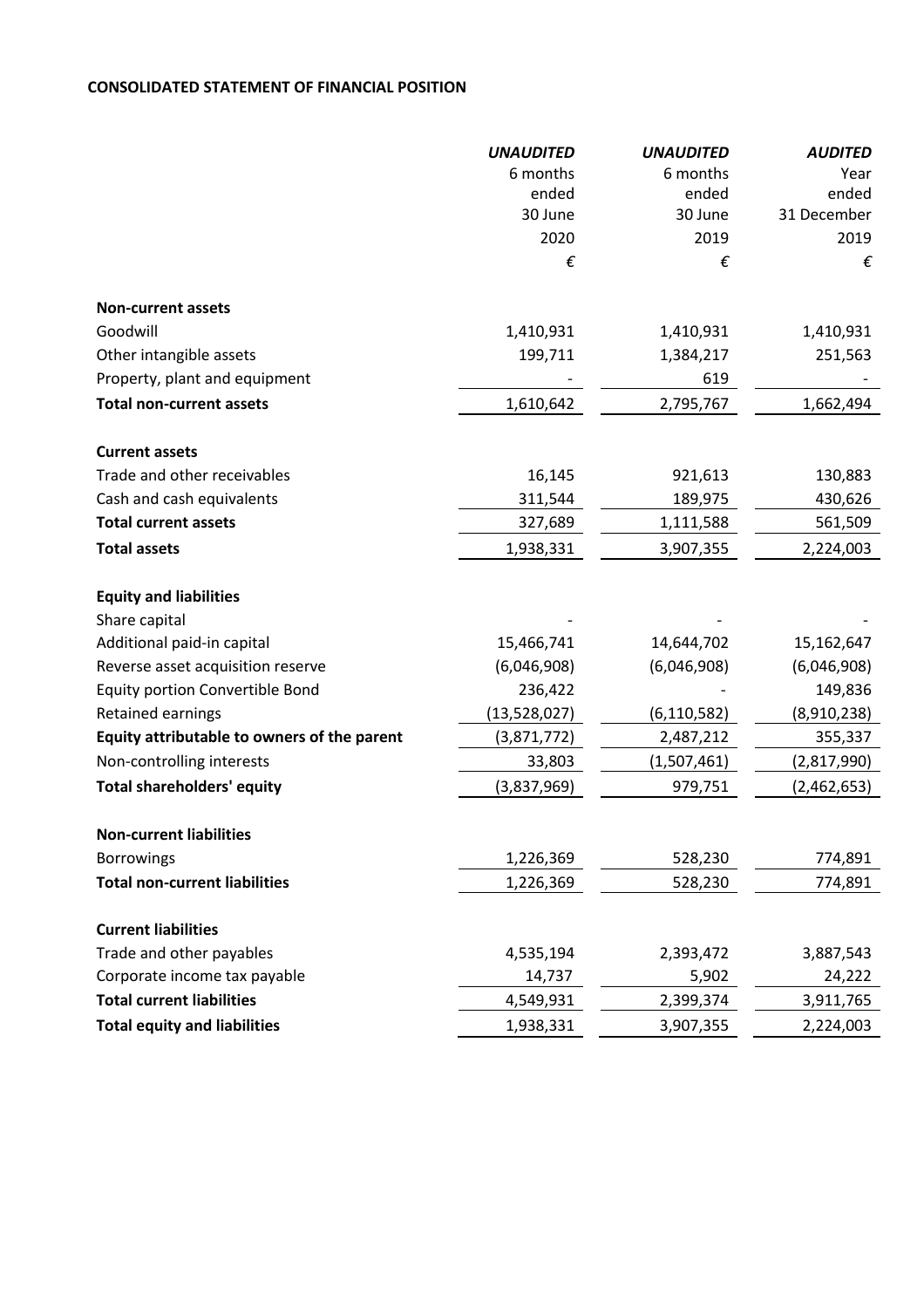## **CONSOLIDATED STATEMENT OF FINANCIAL POSITION**

|                                             | <b>UNAUDITED</b> | <b>UNAUDITED</b> | <b>AUDITED</b> |
|---------------------------------------------|------------------|------------------|----------------|
|                                             | 6 months         | 6 months         | Year           |
|                                             | ended            | ended            | ended          |
|                                             | 30 June          | 30 June          | 31 December    |
|                                             | 2020             | 2019             | 2019           |
|                                             | €                | €                | €              |
| <b>Non-current assets</b>                   |                  |                  |                |
| Goodwill                                    | 1,410,931        | 1,410,931        | 1,410,931      |
| Other intangible assets                     | 199,711          | 1,384,217        | 251,563        |
| Property, plant and equipment               |                  | 619              |                |
| <b>Total non-current assets</b>             | 1,610,642        | 2,795,767        | 1,662,494      |
| <b>Current assets</b>                       |                  |                  |                |
| Trade and other receivables                 | 16,145           | 921,613          | 130,883        |
| Cash and cash equivalents                   | 311,544          | 189,975          | 430,626        |
| <b>Total current assets</b>                 | 327,689          | 1,111,588        | 561,509        |
| <b>Total assets</b>                         | 1,938,331        | 3,907,355        | 2,224,003      |
| <b>Equity and liabilities</b>               |                  |                  |                |
| Share capital                               |                  |                  |                |
| Additional paid-in capital                  | 15,466,741       | 14,644,702       | 15,162,647     |
| Reverse asset acquisition reserve           | (6,046,908)      | (6,046,908)      | (6,046,908)    |
| Equity portion Convertible Bond             | 236,422          |                  | 149,836        |
| Retained earnings                           | (13,528,027)     | (6, 110, 582)    | (8,910,238)    |
| Equity attributable to owners of the parent | (3,871,772)      | 2,487,212        | 355,337        |
| Non-controlling interests                   | 33,803           | (1,507,461)      | (2,817,990)    |
| <b>Total shareholders' equity</b>           | (3,837,969)      | 979,751          | (2,462,653)    |
| <b>Non-current liabilities</b>              |                  |                  |                |
| <b>Borrowings</b>                           | 1,226,369        | 528,230          | 774,891        |
| <b>Total non-current liabilities</b>        | 1,226,369        | 528,230          | 774,891        |
|                                             |                  |                  |                |
| <b>Current liabilities</b>                  |                  |                  |                |
| Trade and other payables                    | 4,535,194        | 2,393,472        | 3,887,543      |
| Corporate income tax payable                | 14,737           | 5,902            | 24,222         |
| <b>Total current liabilities</b>            | 4,549,931        | 2,399,374        | 3,911,765      |
| <b>Total equity and liabilities</b>         | 1,938,331        | 3,907,355        | 2,224,003      |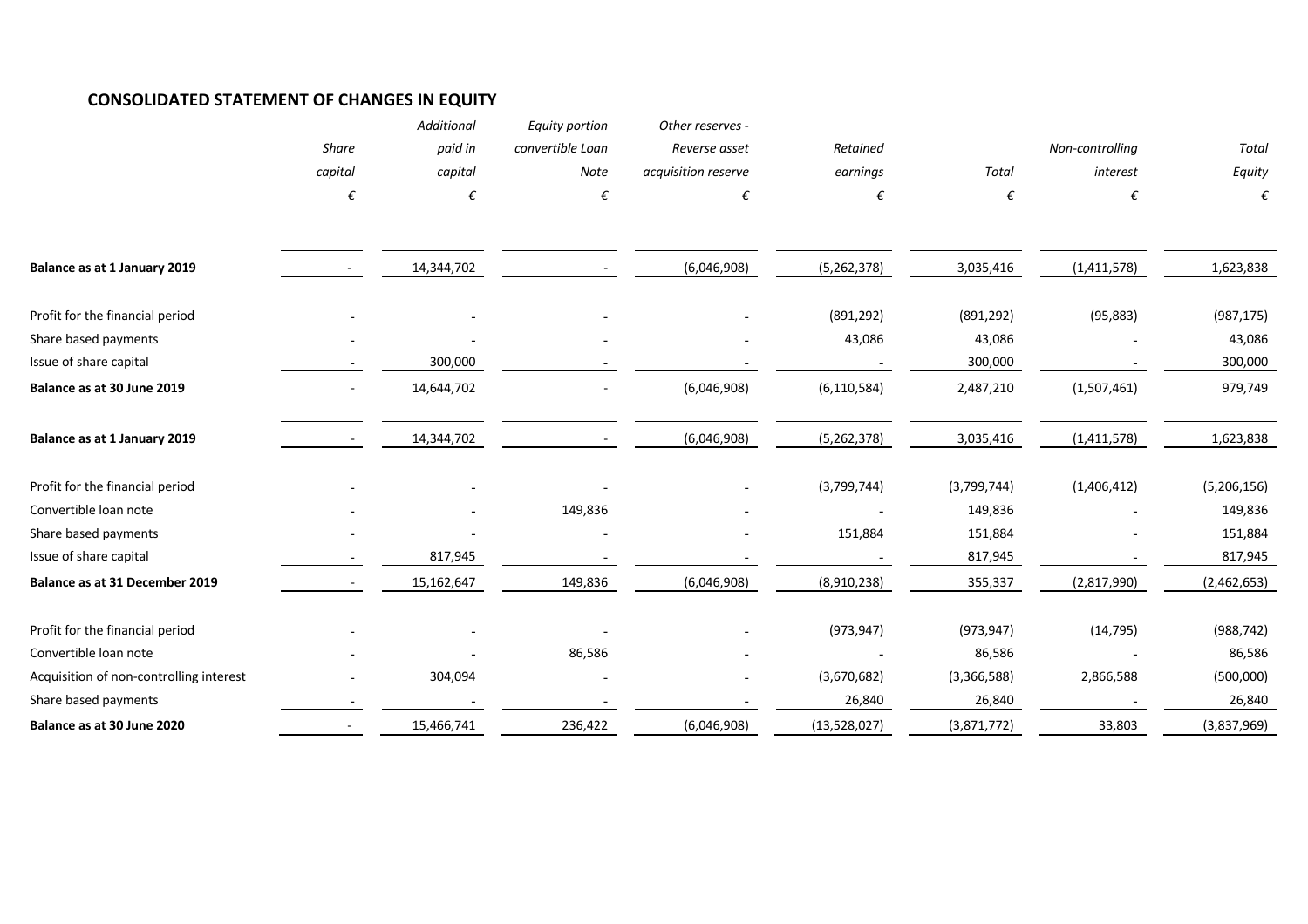## **CONSOLIDATED STATEMENT OF CHANGES IN EQUITY**

|                                         |         | Additional | Equity portion   | Other reserves -    |               |              |                 |              |
|-----------------------------------------|---------|------------|------------------|---------------------|---------------|--------------|-----------------|--------------|
|                                         | Share   | paid in    | convertible Loan | Reverse asset       | Retained      |              | Non-controlling | <b>Total</b> |
|                                         | capital | capital    | Note             | acquisition reserve | earnings      | <b>Total</b> | interest        | Equity       |
|                                         | €       | €          | €                | €                   | €             | €            | €               | €            |
|                                         |         |            |                  |                     |               |              |                 |              |
| Balance as at 1 January 2019            |         | 14,344,702 |                  | (6,046,908)         | (5,262,378)   | 3,035,416    | (1,411,578)     | 1,623,838    |
| Profit for the financial period         |         |            |                  |                     | (891, 292)    | (891, 292)   | (95, 883)       | (987, 175)   |
| Share based payments                    |         |            |                  |                     | 43,086        | 43,086       |                 | 43,086       |
| Issue of share capital                  |         | 300,000    |                  |                     |               | 300,000      |                 | 300,000      |
| Balance as at 30 June 2019              |         | 14,644,702 |                  | (6,046,908)         | (6, 110, 584) | 2,487,210    | (1,507,461)     | 979,749      |
| Balance as at 1 January 2019            |         | 14,344,702 |                  | (6,046,908)         | (5,262,378)   | 3,035,416    | (1,411,578)     | 1,623,838    |
| Profit for the financial period         |         |            |                  |                     | (3,799,744)   | (3,799,744)  | (1,406,412)     | (5,206,156)  |
| Convertible loan note                   |         |            | 149,836          |                     |               | 149,836      |                 | 149,836      |
| Share based payments                    |         |            |                  |                     | 151,884       | 151,884      |                 | 151,884      |
| Issue of share capital                  |         | 817,945    |                  |                     |               | 817,945      |                 | 817,945      |
| Balance as at 31 December 2019          |         | 15,162,647 | 149,836          | (6,046,908)         | (8,910,238)   | 355,337      | (2,817,990)     | (2,462,653)  |
| Profit for the financial period         |         |            |                  |                     | (973, 947)    | (973, 947)   | (14, 795)       | (988, 742)   |
| Convertible Ioan note                   |         |            | 86,586           |                     |               | 86,586       |                 | 86,586       |
| Acquisition of non-controlling interest |         | 304,094    |                  |                     | (3,670,682)   | (3,366,588)  | 2,866,588       | (500,000)    |
| Share based payments                    |         |            |                  |                     | 26,840        | 26,840       |                 | 26,840       |
| Balance as at 30 June 2020              |         | 15,466,741 | 236,422          | (6,046,908)         | (13,528,027)  | (3,871,772)  | 33,803          | (3,837,969)  |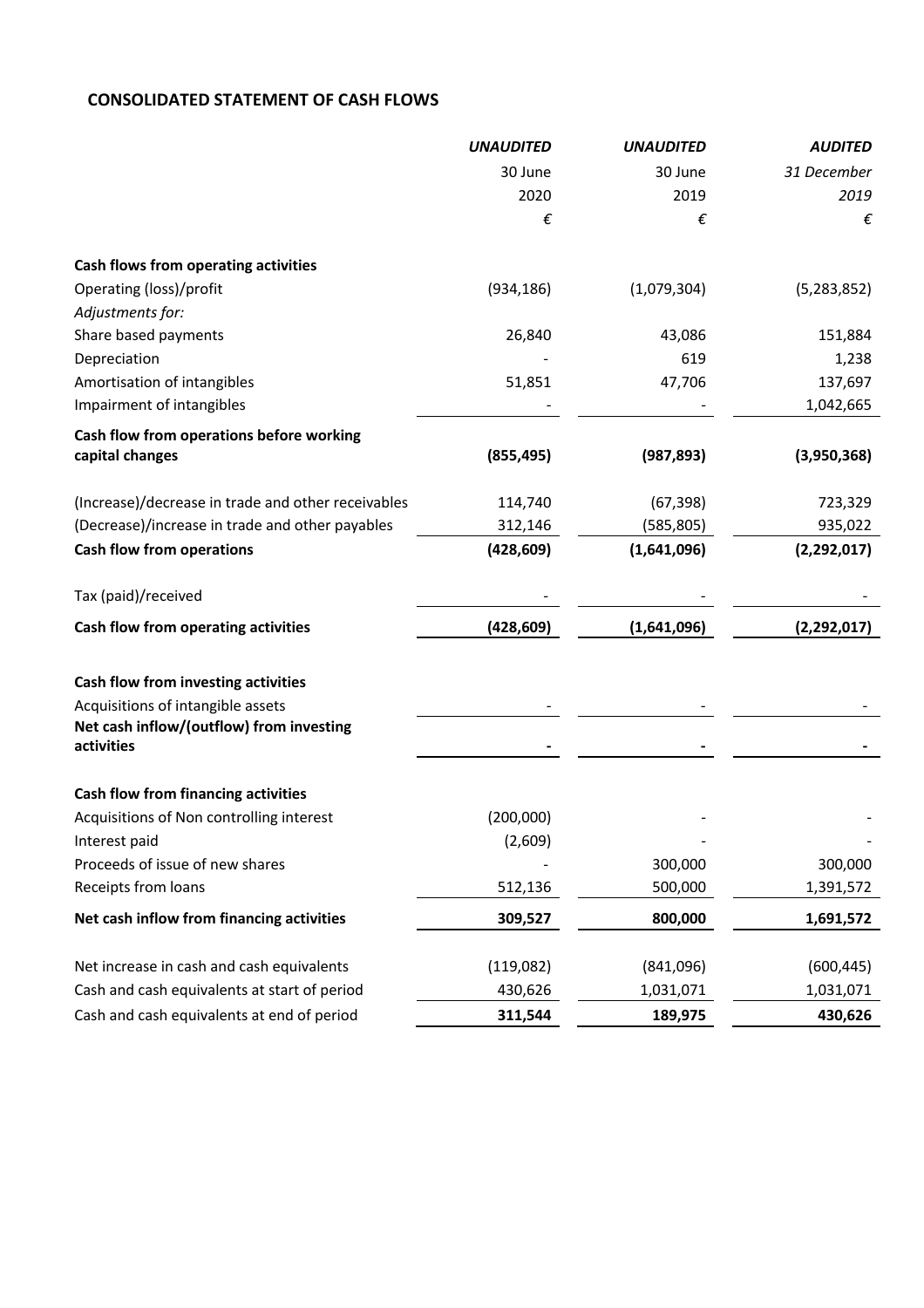# **CONSOLIDATED STATEMENT OF CASH FLOWS**

|                                                        | <b>UNAUDITED</b> | <b>UNAUDITED</b> | <b>AUDITED</b> |
|--------------------------------------------------------|------------------|------------------|----------------|
|                                                        | 30 June          | 30 June          | 31 December    |
|                                                        | 2020             | 2019             | 2019           |
|                                                        | €                | €                | €              |
| Cash flows from operating activities                   |                  |                  |                |
| Operating (loss)/profit                                | (934, 186)       | (1,079,304)      | (5, 283, 852)  |
| Adjustments for:                                       |                  |                  |                |
| Share based payments                                   | 26,840           | 43,086           | 151,884        |
| Depreciation                                           |                  | 619              | 1,238          |
| Amortisation of intangibles                            | 51,851           | 47,706           | 137,697        |
| Impairment of intangibles                              |                  |                  | 1,042,665      |
| Cash flow from operations before working               |                  |                  |                |
| capital changes                                        | (855, 495)       | (987, 893)       | (3,950,368)    |
| (Increase)/decrease in trade and other receivables     | 114,740          | (67, 398)        | 723,329        |
| (Decrease)/increase in trade and other payables        | 312,146          | (585, 805)       | 935,022        |
| <b>Cash flow from operations</b>                       | (428, 609)       | (1,641,096)      | (2, 292, 017)  |
| Tax (paid)/received                                    |                  |                  |                |
| Cash flow from operating activities                    | (428, 609)       | (1,641,096)      | (2,292,017)    |
| Cash flow from investing activities                    |                  |                  |                |
| Acquisitions of intangible assets                      |                  |                  |                |
| Net cash inflow/(outflow) from investing<br>activities |                  |                  |                |
|                                                        |                  |                  |                |
| Cash flow from financing activities                    |                  |                  |                |
| Acquisitions of Non controlling interest               | (200,000)        |                  |                |
| Interest paid                                          | (2,609)          |                  |                |
| Proceeds of issue of new shares                        |                  | 300,000          | 300,000        |
| Receipts from loans                                    | 512,136          | 500,000          | 1,391,572      |
| Net cash inflow from financing activities              | 309,527          | 800,000          | 1,691,572      |
| Net increase in cash and cash equivalents              | (119,082)        | (841,096)        | (600, 445)     |
| Cash and cash equivalents at start of period           | 430,626          | 1,031,071        | 1,031,071      |
| Cash and cash equivalents at end of period             | 311,544          | 189,975          | 430,626        |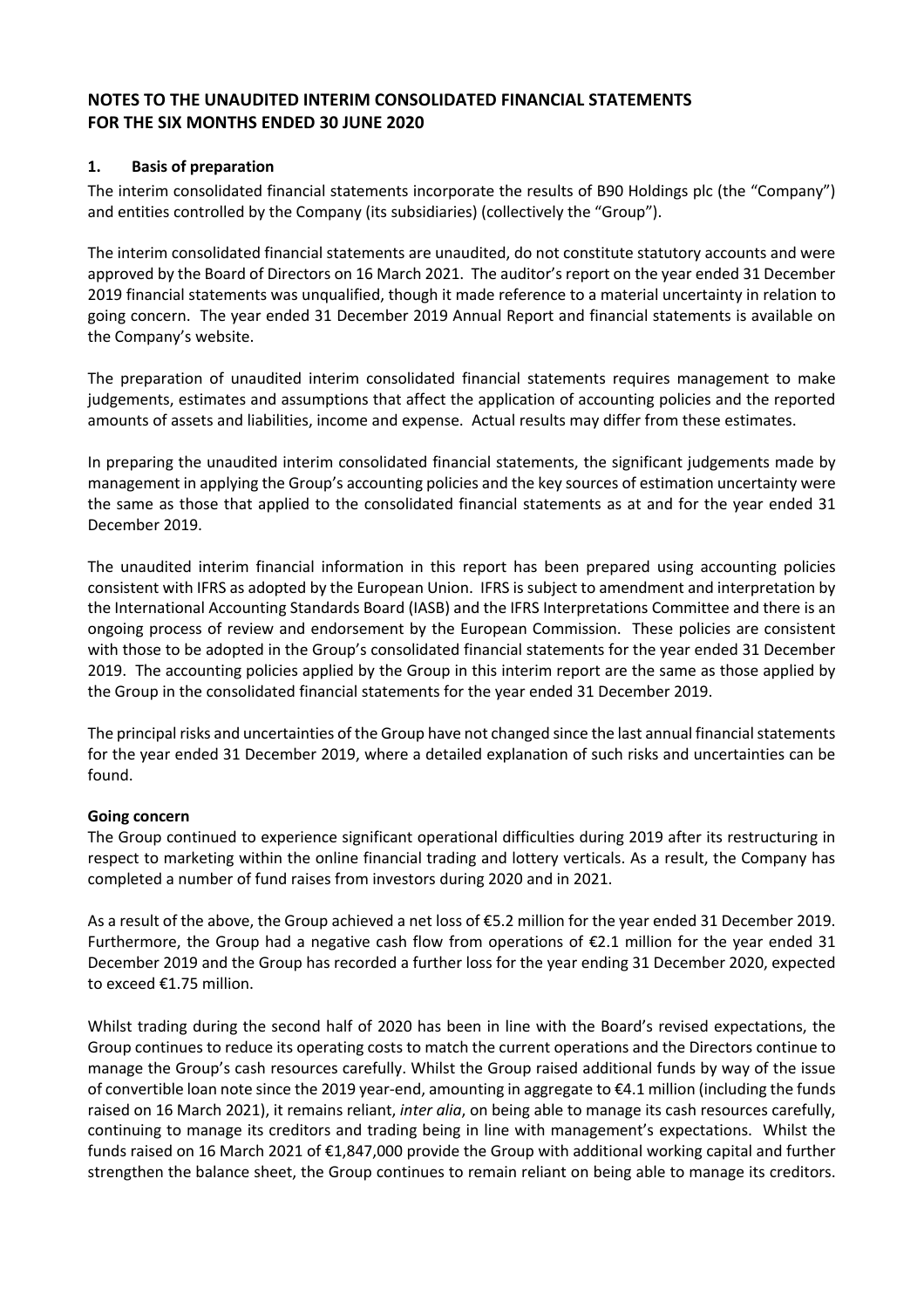# **NOTES TO THE UNAUDITED INTERIM CONSOLIDATED FINANCIAL STATEMENTS FOR THE SIX MONTHS ENDED 30 JUNE 2020**

## **1. Basis of preparation**

The interim consolidated financial statements incorporate the results of B90 Holdings plc (the "Company") and entities controlled by the Company (its subsidiaries) (collectively the "Group").

The interim consolidated financial statements are unaudited, do not constitute statutory accounts and were approved by the Board of Directors on 16 March 2021. The auditor's report on the year ended 31 December 2019 financial statements was unqualified, though it made reference to a material uncertainty in relation to going concern. The year ended 31 December 2019 Annual Report and financial statements is available on the Company's website.

The preparation of unaudited interim consolidated financial statements requires management to make judgements, estimates and assumptions that affect the application of accounting policies and the reported amounts of assets and liabilities, income and expense. Actual results may differ from these estimates.

In preparing the unaudited interim consolidated financial statements, the significant judgements made by management in applying the Group's accounting policies and the key sources of estimation uncertainty were the same as those that applied to the consolidated financial statements as at and for the year ended 31 December 2019.

The unaudited interim financial information in this report has been prepared using accounting policies consistent with IFRS as adopted by the European Union. IFRS is subject to amendment and interpretation by the International Accounting Standards Board (IASB) and the IFRS Interpretations Committee and there is an ongoing process of review and endorsement by the European Commission. These policies are consistent with those to be adopted in the Group's consolidated financial statements for the year ended 31 December 2019. The accounting policies applied by the Group in this interim report are the same as those applied by the Group in the consolidated financial statements for the year ended 31 December 2019.

The principal risks and uncertainties of the Group have not changed since the last annual financial statements for the year ended 31 December 2019, where a detailed explanation of such risks and uncertainties can be found.

### **Going concern**

The Group continued to experience significant operational difficulties during 2019 after its restructuring in respect to marketing within the online financial trading and lottery verticals. As a result, the Company has completed a number of fund raises from investors during 2020 and in 2021.

As a result of the above, the Group achieved a net loss of €5.2 million for the year ended 31 December 2019. Furthermore, the Group had a negative cash flow from operations of  $\epsilon$ 2.1 million for the year ended 31 December 2019 and the Group has recorded a further loss for the year ending 31 December 2020, expected to exceed €1.75 million.

Whilst trading during the second half of 2020 has been in line with the Board's revised expectations, the Group continues to reduce its operating costs to match the current operations and the Directors continue to manage the Group's cash resources carefully. Whilst the Group raised additional funds by way of the issue of convertible loan note since the 2019 year-end, amounting in aggregate to €4.1 million (including the funds raised on 16 March 2021), it remains reliant, *inter alia*, on being able to manage its cash resources carefully, continuing to manage its creditors and trading being in line with management's expectations. Whilst the funds raised on 16 March 2021 of €1,847,000 provide the Group with additional working capital and further strengthen the balance sheet, the Group continues to remain reliant on being able to manage its creditors.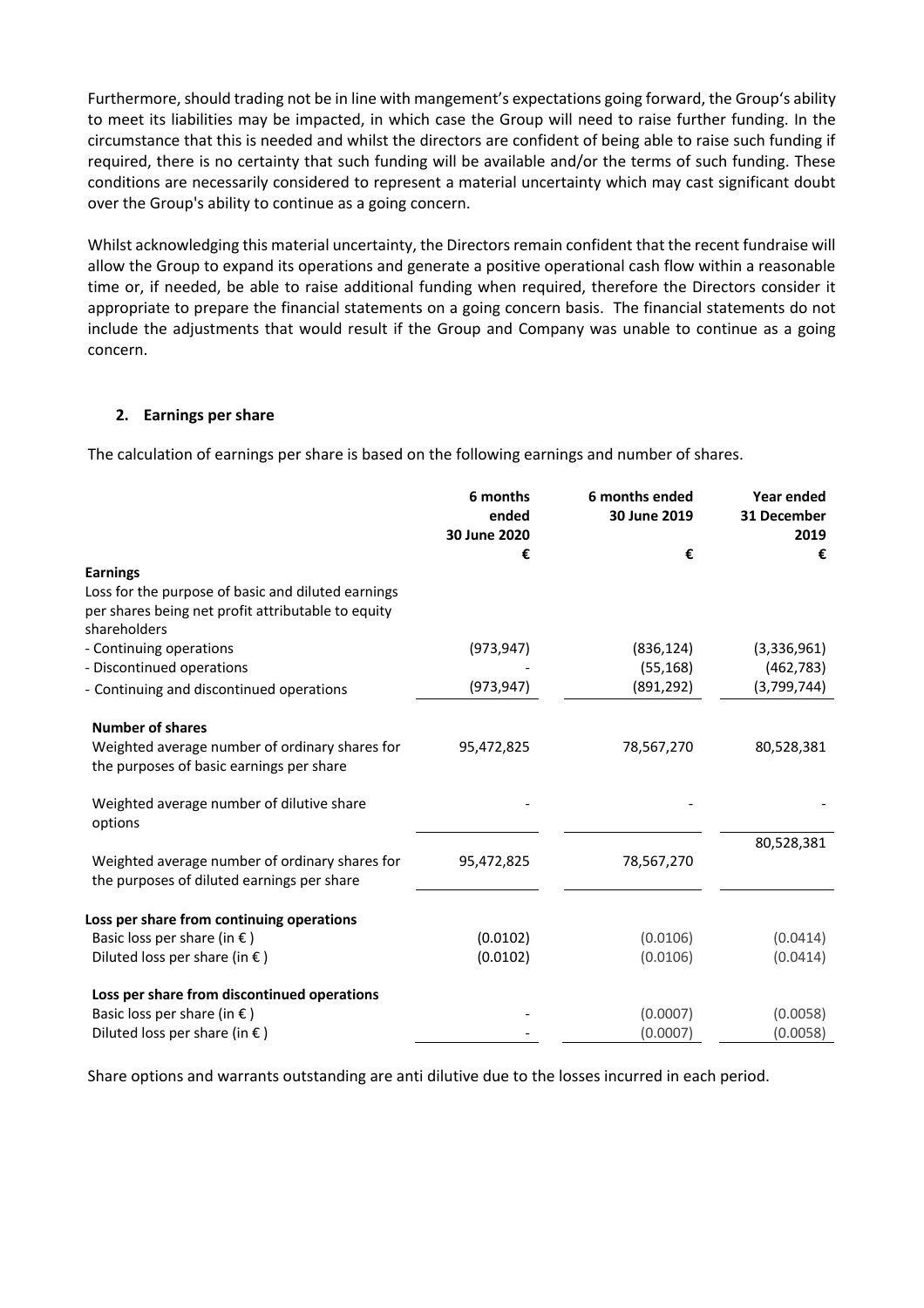Furthermore, should trading not be in line with mangement's expectations going forward, the Group's ability to meet its liabilities may be impacted, in which case the Group will need to raise further funding. In the circumstance that this is needed and whilst the directors are confident of being able to raise such funding if required, there is no certainty that such funding will be available and/or the terms of such funding. These conditions are necessarily considered to represent a material uncertainty which may cast significant doubt over the Group's ability to continue as a going concern.

Whilst acknowledging this material uncertainty, the Directors remain confident that the recent fundraise will allow the Group to expand its operations and generate a positive operational cash flow within a reasonable time or, if needed, be able to raise additional funding when required, therefore the Directors consider it appropriate to prepare the financial statements on a going concern basis. The financial statements do not include the adjustments that would result if the Group and Company was unable to continue as a going concern.

## **2. Earnings per share**

The calculation of earnings per share is based on the following earnings and number of shares.

|                                                                                                                          | 6 months<br>ended<br>30 June 2020 | 6 months ended<br>30 June 2019 | Year ended<br>31 December<br>2019 |
|--------------------------------------------------------------------------------------------------------------------------|-----------------------------------|--------------------------------|-----------------------------------|
|                                                                                                                          | €                                 | €                              | €                                 |
| <b>Earnings</b>                                                                                                          |                                   |                                |                                   |
| Loss for the purpose of basic and diluted earnings<br>per shares being net profit attributable to equity<br>shareholders |                                   |                                |                                   |
| - Continuing operations                                                                                                  | (973, 947)                        | (836, 124)                     | (3,336,961)                       |
| - Discontinued operations                                                                                                |                                   | (55, 168)                      | (462, 783)                        |
| - Continuing and discontinued operations                                                                                 | (973, 947)                        | (891, 292)                     | (3,799,744)                       |
|                                                                                                                          |                                   |                                |                                   |
| <b>Number of shares</b>                                                                                                  |                                   |                                |                                   |
| Weighted average number of ordinary shares for<br>the purposes of basic earnings per share                               | 95,472,825                        | 78,567,270                     | 80,528,381                        |
| Weighted average number of dilutive share<br>options                                                                     |                                   |                                |                                   |
|                                                                                                                          |                                   |                                | 80,528,381                        |
| Weighted average number of ordinary shares for<br>the purposes of diluted earnings per share                             | 95,472,825                        | 78,567,270                     |                                   |
| Loss per share from continuing operations                                                                                |                                   |                                |                                   |
| Basic loss per share (in $\epsilon$ )                                                                                    | (0.0102)                          | (0.0106)                       | (0.0414)                          |
| Diluted loss per share (in $\epsilon$ )                                                                                  | (0.0102)                          | (0.0106)                       | (0.0414)                          |
|                                                                                                                          |                                   |                                |                                   |
| Loss per share from discontinued operations                                                                              |                                   |                                |                                   |
| Basic loss per share (in $\epsilon$ )                                                                                    |                                   | (0.0007)                       | (0.0058)                          |
| Diluted loss per share (in $\epsilon$ )                                                                                  |                                   | (0.0007)                       | (0.0058)                          |

Share options and warrants outstanding are anti dilutive due to the losses incurred in each period.